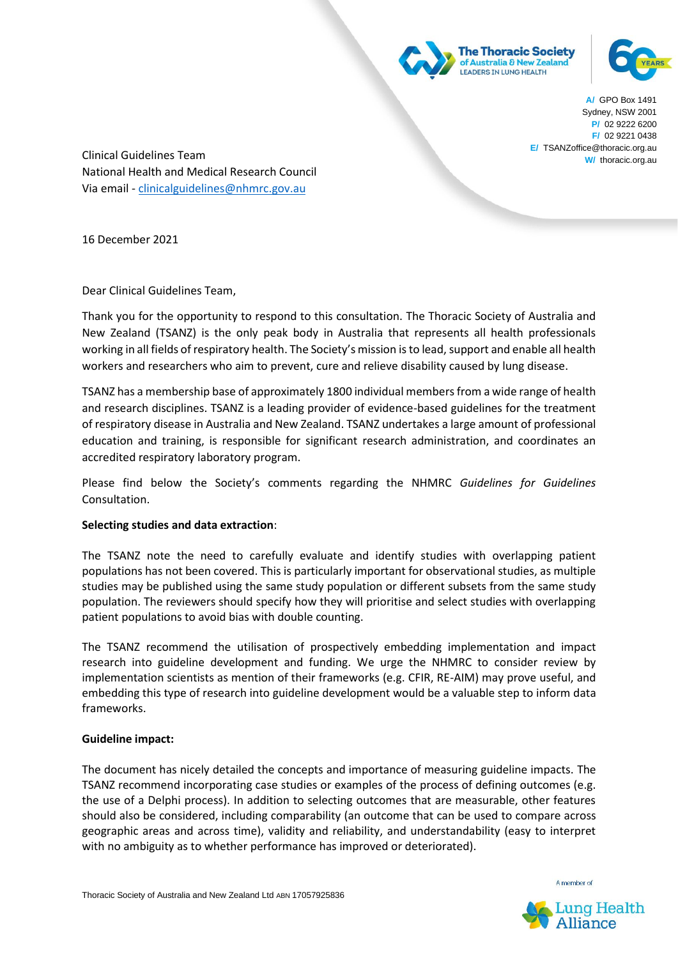



**A/** GPO Box 1491 Sydney, NSW 2001 **P/** 02 9222 6200 **F/** 02 9221 0438 **E/** TSANZoffice@thoracic.org.au **W/** thoracic.org.au

Clinical Guidelines Team National Health and Medical Research Council Via email - [clinicalguidelines@nhmrc.gov.au](mailto:clinicalguidelines@nhmrc.gov.au)

16 December 2021

Dear Clinical Guidelines Team,

Thank you for the opportunity to respond to this consultation. The Thoracic Society of Australia and New Zealand (TSANZ) is the only peak body in Australia that represents all health professionals working in all fields of respiratory health. The Society's mission is to lead, support and enable all health workers and researchers who aim to prevent, cure and relieve disability caused by lung disease.

TSANZ has a membership base of approximately 1800 individual members from a wide range of health and research disciplines. TSANZ is a leading provider of evidence-based guidelines for the treatment of respiratory disease in Australia and New Zealand. TSANZ undertakes a large amount of professional education and training, is responsible for significant research administration, and coordinates an accredited respiratory laboratory program.

Please find below the Society's comments regarding the NHMRC *Guidelines for Guidelines* Consultation.

## **Selecting studies and data extraction**:

The TSANZ note the need to carefully evaluate and identify studies with overlapping patient populations has not been covered. This is particularly important for observational studies, as multiple studies may be published using the same study population or different subsets from the same study population. The reviewers should specify how they will prioritise and select studies with overlapping patient populations to avoid bias with double counting.

The TSANZ recommend the utilisation of prospectively embedding implementation and impact research into guideline development and funding. We urge the NHMRC to consider review by implementation scientists as mention of their frameworks (e.g. CFIR, RE-AIM) may prove useful, and embedding this type of research into guideline development would be a valuable step to inform data frameworks.

## **Guideline impact:**

The document has nicely detailed the concepts and importance of measuring guideline impacts. The TSANZ recommend incorporating case studies or examples of the process of defining outcomes (e.g. the use of a Delphi process). In addition to selecting outcomes that are measurable, other features should also be considered, including comparability (an outcome that can be used to compare across geographic areas and across time), validity and reliability, and understandability (easy to interpret with no ambiguity as to whether performance has improved or deteriorated).



Lung Health

A member of